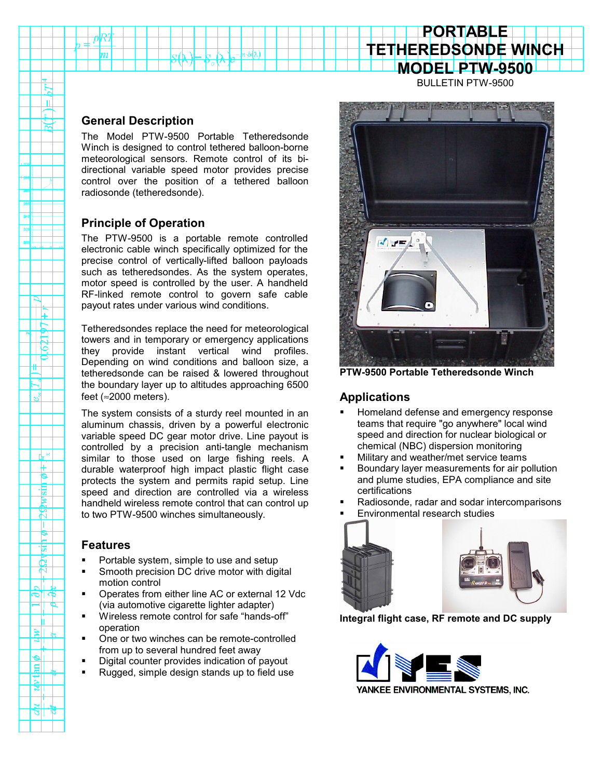# **TETHEREDSONDE WINCH MODEL PTW-9500**

**PORTABLE**

BULLETIN PTW-9500

#### **General Description**

The Model PTW-9500 Portable Tetheredsonde Winch is designed to control tethered balloon-borne meteorological sensors. Remote control of its bidirectional variable speed motor provides precise control over the position of a tethered balloon radiosonde (tetheredsonde).

## **Principle of Operation**

The PTW-9500 is a portable remote controlled electronic cable winch specifically optimized for the precise control of vertically-lifted balloon payloads such as tetheredsondes. As the system operates, motor speed is controlled by the user. A handheld RF-linked remote control to govern safe cable payout rates under various wind conditions.

Tetheredsondes replace the need for meteorological towers and in temporary or emergency applications they provide instant vertical wind profiles. Depending on wind conditions and balloon size, a tetheredsonde can be raised & lowered throughout the boundary layer up to altitudes approaching 6500 feet (≈2000 meters).

The system consists of a sturdy reel mounted in an aluminum chassis, driven by a powerful electronic variable speed DC gear motor drive. Line payout is controlled by a precision anti-tangle mechanism similar to those used on large fishing reels. A durable waterproof high impact plastic flight case protects the system and permits rapid setup. Line speed and direction are controlled via a wireless handheld wireless remote control that can control up to two PTW-9500 winches simultaneously.

#### **Features**

 $\sigma^2$ 

rL 8

惕  $\beta$ र्ष D. r 'চা

9I

 $\frac{d}{d}$ 

- Portable system, simple to use and setup
- Smooth precision DC drive motor with digital motion control
- Operates from either line AC or external 12 Vdc (via automotive cigarette lighter adapter)
- Wireless remote control for safe "hands-off" operation
- One or two winches can be remote-controlled from up to several hundred feet away
- Digital counter provides indication of payout
- Rugged, simple design stands up to field use



**PTW-9500 Portable Tetheredsonde Winch**

### **Applications**

- Homeland defense and emergency response teams that require "go anywhere" local wind speed and direction for nuclear biological or chemical (NBC) dispersion monitoring
- Military and weather/met service teams
- Boundary layer measurements for air pollution and plume studies, EPA compliance and site certifications
- Radiosonde, radar and sodar intercomparisons
- Environmental research studies



**Integral flight case, RF remote and DC supply**